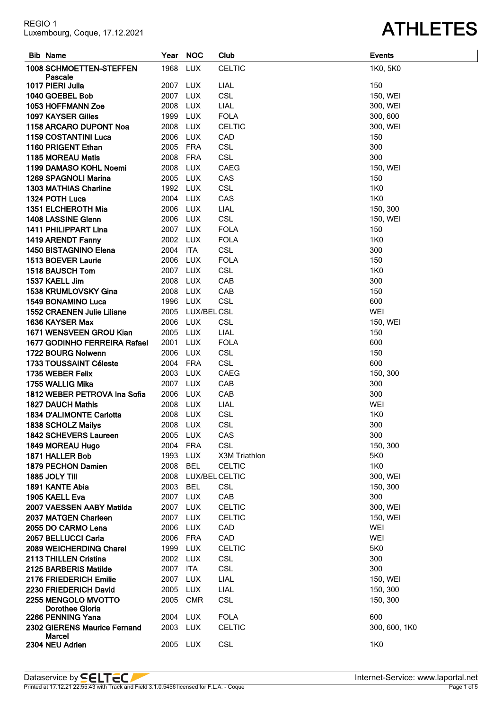| REGIO 1<br>Luxembourg, Coque, 17.12.2021 |
|------------------------------------------|
|                                          |

| <b>Bib Name</b>                               | Year     | <b>NOC</b>     | Club          | <b>Events</b> |
|-----------------------------------------------|----------|----------------|---------------|---------------|
| 1008 SCHMOETTEN-STEFFEN                       | 1968     | <b>LUX</b>     | <b>CELTIC</b> | 1K0, 5K0      |
| Pascale                                       |          |                |               |               |
| 1017 PIERI Julia                              | 2007     | <b>LUX</b>     | LIAL          | 150           |
| 1040 GOEBEL Bob                               | 2007     | <b>LUX</b>     | <b>CSL</b>    | 150, WEI      |
| 1053 HOFFMANN Zoe                             | 2008     | <b>LUX</b>     | LIAL          | 300, WEI      |
| 1097 KAYSER Gilles                            | 1999     | <b>LUX</b>     | <b>FOLA</b>   | 300, 600      |
| 1158 ARCARO DUPONT Noa                        | 2008     | <b>LUX</b>     | <b>CELTIC</b> | 300, WEI      |
| <b>1159 COSTANTINI Luca</b>                   | 2006     | <b>LUX</b>     | CAD           | 150           |
| 1160 PRIGENT Ethan                            | 2005     | FRA            | <b>CSL</b>    | 300           |
| 1185 MOREAU Matis                             | 2008     | <b>FRA</b>     | CSL           | 300           |
| 1199 DAMASO KOHL Noemi                        | 2008     | <b>LUX</b>     | <b>CAEG</b>   | 150, WEI      |
| <b>1269 SPAGNOLI Marina</b>                   | 2005 LUX |                | CAS           | 150           |
| <b>1303 MATHIAS Charline</b>                  | 1992 LUX |                | <b>CSL</b>    | <b>1K0</b>    |
| 1324 POTH Luca                                | 2004 LUX |                | CAS           | <b>1K0</b>    |
| 1351 ELCHEROTH Mia                            | 2006     | <b>LUX</b>     | LIAL          | 150, 300      |
| 1408 LASSINE Glenn                            | 2006     | LUX            | <b>CSL</b>    | 150, WEI      |
| 1411 PHILIPPART Lina                          | 2007 LUX |                | <b>FOLA</b>   | 150           |
| 1419 ARENDT Fanny                             | 2002 LUX |                | <b>FOLA</b>   | <b>1K0</b>    |
| <b>1450 BISTAGNINO Elena</b>                  | 2004     | <b>ITA</b>     | <b>CSL</b>    | 300           |
| 1513 BOEVER Laurie                            | 2006     | <b>LUX</b>     | <b>FOLA</b>   | 150           |
| 1518 BAUSCH Tom                               | 2007     | <b>LUX</b>     | <b>CSL</b>    | <b>1K0</b>    |
| 1537 KAELL Jim                                | 2008     | <b>LUX</b>     | CAB           | 300           |
| <b>1538 KRUMLOVSKY Gina</b>                   | 2008     | <b>LUX</b>     | CAB           | 150           |
| 1549 BONAMINO Luca                            | 1996     | <b>LUX</b>     | CSL           | 600           |
| <b>1552 CRAENEN Julie Liliane</b>             | 2005     | LUX/BEL CSL    |               | <b>WEI</b>    |
| 1636 KAYSER Max                               | 2006     | <b>LUX</b>     | <b>CSL</b>    | 150, WEI      |
| 1671 WENSVEEN GROU Kian                       | 2005     | <b>LUX</b>     | LIAL          | 150           |
| 1677 GODINHO FERREIRA Rafael                  | 2001     | <b>LUX</b>     | <b>FOLA</b>   | 600           |
| 1722 BOURG Nolwenn                            | 2006     | <b>LUX</b>     | CSL           | 150           |
| 1733 TOUSSAINT Céleste                        | 2004     | <b>FRA</b>     | CSL           | 600           |
| 1735 WEBER Felix                              | 2003     | <b>LUX</b>     | CAEG          | 150, 300      |
| 1755 WALLIG Mika                              | 2007     | <b>LUX</b>     | CAB           | 300           |
| 1812 WEBER PETROVA Ina Sofia                  | 2006     | <b>LUX</b>     | CAB           | 300           |
| <b>1827 DAUCH Mathis</b>                      | 2008     | LUX            | LIAL          | WEI           |
| <b>1834 D'ALIMONTE Carlotta</b>               | 2008     | <b>LUX</b>     | <b>CSL</b>    | 1K0           |
| 1838 SCHOLZ Mailys                            | 2008     | <b>LUX</b>     | <b>CSL</b>    | 300           |
| 1842 SCHEVERS Laureen                         | 2005 LUX |                | CAS           | 300           |
| 1849 MOREAU Hugo                              | 2004     | <b>FRA</b>     | <b>CSL</b>    | 150, 300      |
| 1871 HALLER Bob                               | 1993     | <b>LUX</b>     | X3M Triathlon | 5K0           |
| 1879 PECHON Damien                            | 2008     | <b>BEL</b>     | <b>CELTIC</b> | 1K0           |
| 1885 JOLY Till                                | 2008     | LUX/BEL CELTIC |               | 300, WEI      |
| 1891 KANTE Abia                               | 2003     | <b>BEL</b>     | <b>CSL</b>    | 150, 300      |
| 1905 KAELL Eva                                | 2007 LUX |                | CAB           | 300           |
| 2007 VAESSEN AABY Matilda                     | 2007     | <b>LUX</b>     | <b>CELTIC</b> | 300, WEI      |
| 2037 MATGEN Charleen                          | 2007 LUX |                | <b>CELTIC</b> | 150, WEI      |
| 2055 DO CARMO Lena                            | 2006     | LUX            | CAD           | WEI           |
| 2057 BELLUCCI Carla                           | 2006 FRA |                | CAD           | WEI           |
| <b>2089 WEICHERDING Charel</b>                | 1999     | <b>LUX</b>     | <b>CELTIC</b> | 5K0           |
| 2113 THILLEN Cristina                         | 2002 LUX |                | <b>CSL</b>    | 300           |
| 2125 BARBERIS Matilde                         | 2007     | ITA            | <b>CSL</b>    | 300           |
| 2176 FRIEDERICH Emilie                        | 2007     | <b>LUX</b>     | LIAL          | 150, WEI      |
| 2230 FRIEDERICH David                         | 2005     | <b>LUX</b>     | LIAL          | 150, 300      |
| 2255 MENGOLO MVOTTO                           | 2005     | <b>CMR</b>     | <b>CSL</b>    | 150, 300      |
| Dorothee Gloria                               |          |                |               |               |
| 2266 PENNING Yana                             | 2004     | <b>LUX</b>     | <b>FOLA</b>   | 600           |
| 2302 GIERENS Maurice Fernand<br><b>Marcel</b> | 2003     | <b>LUX</b>     | <b>CELTIC</b> | 300, 600, 1K0 |
| 2304 NEU Adrien                               | 2005 LUX |                | <b>CSL</b>    | 1K0           |

### **ATHLETES**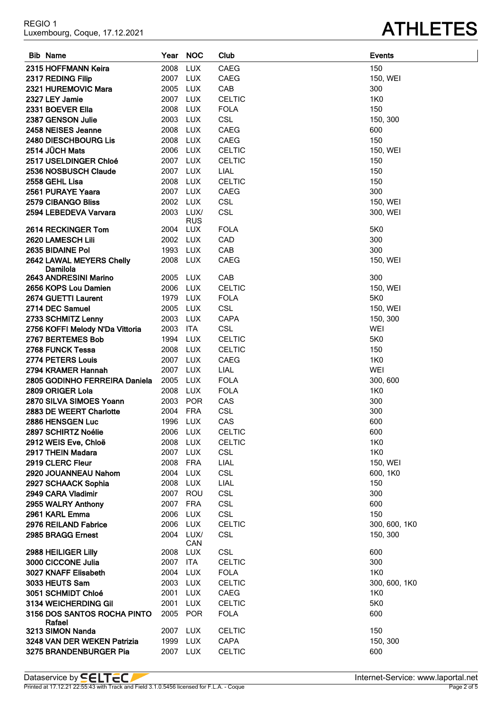| 2561 PURAYE Yaara                     | 2007 LUX |                    | CAEG          | 300           |
|---------------------------------------|----------|--------------------|---------------|---------------|
| 2579 CIBANGO Bliss                    | 2002 LUX |                    | CSL           | 150, WEI      |
| 2594 LEBEDEVA Varvara                 | 2003     | LUX/<br><b>RUS</b> | <b>CSL</b>    | 300, WEI      |
| 2614 RECKINGER Tom                    | 2004     | LUX                | <b>FOLA</b>   | 5K0           |
| 2620 LAMESCH Lili                     | 2002     | LUX                | CAD           | 300           |
| 2635 BIDAINE Pol                      | 1993     | <b>LUX</b>         | CAB           | 300           |
| 2642 LAWAL MEYERS Chelly<br>Damilola  | 2008     | LUX                | <b>CAEG</b>   | 150, WEI      |
| 2643 ANDRESINI Marino                 | 2005     | LUX                | CAB           | 300           |
| 2656 KOPS Lou Damien                  | 2006     | LUX                | <b>CELTIC</b> | 150, WEI      |
| 2674 GUETTI Laurent                   | 1979     | LUX                | <b>FOLA</b>   | 5K0           |
| 2714 DEC Samuel                       | 2005     | LUX                | <b>CSL</b>    | 150, WEI      |
| 2733 SCHMITZ Lenny                    | 2003     | <b>LUX</b>         | <b>CAPA</b>   | 150, 300      |
| 2756 KOFFI Melody N'Da Vittoria       | 2003     | ITA                | CSL           | WEI           |
| 2767 BERTEMES Bob                     | 1994     | <b>LUX</b>         | <b>CELTIC</b> | 5K0           |
| 2768 FUNCK Tessa                      | 2008     | <b>LUX</b>         | <b>CELTIC</b> | 150           |
| 2774 PETERS Louis                     | 2007     | <b>LUX</b>         | CAEG          | <b>1K0</b>    |
| 2794 KRAMER Hannah                    | 2007     | <b>LUX</b>         | LIAL          | WEI           |
| 2805 GODINHO FERREIRA Daniela         | 2005     | LUX                | <b>FOLA</b>   | 300, 600      |
| 2809 ORIGER Lola                      | 2008     | <b>LUX</b>         | <b>FOLA</b>   | <b>1K0</b>    |
| 2870 SILVA SIMOES Yoann               | 2003     | <b>POR</b>         | CAS           | 300           |
| 2883 DE WEERT Charlotte               | 2004     | <b>FRA</b>         | CSL           | 300           |
| 2886 HENSGEN Luc                      | 1996     | <b>LUX</b>         | CAS           | 600           |
| 2897 SCHIRTZ Noélie                   | 2006     | <b>LUX</b>         | <b>CELTIC</b> | 600           |
| 2912 WEIS Eve, Chloë                  | 2008     | <b>LUX</b>         | <b>CELTIC</b> | <b>1K0</b>    |
| 2917 THEIN Madara                     | 2007     | <b>LUX</b>         | <b>CSL</b>    | 1K0           |
| 2919 CLERC Fleur                      | 2008     | <b>FRA</b>         | LIAL          | 150, WEI      |
| 2920 JOUANNEAU Nahom                  | 2004     | <b>LUX</b>         | <b>CSL</b>    | 600, 1K0      |
| 2927 SCHAACK Sophia                   | 2008     | <b>LUX</b>         | LIAL          | 150           |
| 2949 CARA Vladimir                    | 2007     | ROU                | <b>CSL</b>    | 300           |
| 2955 WALRY Anthony                    | 2007     | <b>FRA</b>         | CSL           | 600           |
| 2961 KARL Emma                        | 2006     | <b>LUX</b>         | <b>CSL</b>    | 150           |
| 2976 REILAND Fabrice                  | 2006     | <b>LUX</b>         | <b>CELTIC</b> | 300, 600, 1K0 |
| 2985 BRAGG Ernest                     | 2004     | LUX/<br>CAN        | <b>CSL</b>    | 150, 300      |
| 2988 HEILIGER Lilly                   | 2008     | <b>LUX</b>         | <b>CSL</b>    | 600           |
| 3000 CICCONE Julia                    | 2007     | <b>ITA</b>         | <b>CELTIC</b> | 300           |
| 3027 KNAFF Elisabeth                  | 2004 LUX |                    | <b>FOLA</b>   | 1K0           |
| 3033 HEUTS Sam                        | 2003     | <b>LUX</b>         | <b>CELTIC</b> | 300, 600, 1K0 |
| 3051 SCHMIDT Chloé                    | 2001     | <b>LUX</b>         | CAEG          | 1K0           |
| 3134 WEICHERDING Gil                  | 2001     | <b>LUX</b>         | <b>CELTIC</b> | 5K0           |
| 3156 DOS SANTOS ROCHA PINTO<br>Rafael | 2005     | <b>POR</b>         | <b>FOLA</b>   | 600           |
| 3213 SIMON Nanda                      | 2007     | <b>LUX</b>         | <b>CELTIC</b> | 150           |
| 3248 VAN DER WEKEN Patrizia           | 1999     | <b>LUX</b>         | CAPA          | 150, 300      |
| 3275 BRANDENBURGER Pia                | 2007 LUX |                    | <b>CELTIC</b> | 600           |

**Bib Name Year NOC Club Events HOFFMANN Keira** 2008 LUX CAEG 150 **2317 REDING Filip** 2007 LUX CAEG **150, WEI HUREMOVIC Mara** 2005 LUX CAB 300 **LEY Jamie** 2007 LUX CELTIC 1K0 **BOEVER Ella** 2008 LUX FOLA 150 **GENSON Julie** 2003 LUX CSL 150, 300 **NEISES Jeanne** 2008 LUX CAEG 600 **DIESCHBOURG Lis** 2008 LUX CAEG 150 **JÜCH Mats** 2006 LUX CELTIC 150, WEI **USELDINGER Chloé** 2007 LUX CELTIC 150 **NOSBUSCH Claude** 2007 LUX LIAL 150 **GEHL Lisa** 2008 LUX CELTIC 150

### REGIO 1 REGIO 1<br>Luxembourg, Coque, 17.12.2021 **ATHLETES**

| Data:<br>bv<br>vice                                                                                          | : www.laportal.net<br>.met-Service: |
|--------------------------------------------------------------------------------------------------------------|-------------------------------------|
| Printed<br>$.1.0.5456$ $^{\circ}$<br>2.21 22:55:43 with<br>Coaue<br>Track and Field 3.<br>licensed for<br>A. | ot :                                |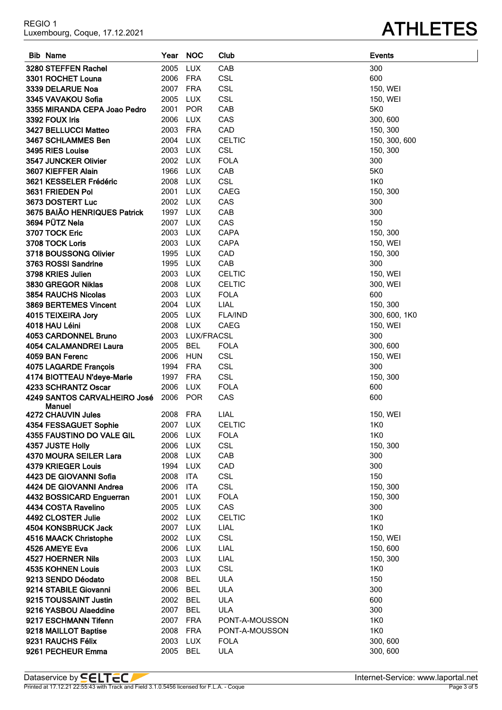**PECHEUR Emma** 2005 BEL ULA 300, 600

I

| <b>Bib Name</b>              | Year NOC |                   | Club           | <b>Events</b> |
|------------------------------|----------|-------------------|----------------|---------------|
| 3280 STEFFEN Rachel          | 2005     | <b>LUX</b>        | CAB            | 300           |
| 3301 ROCHET Louna            | 2006 FRA |                   | <b>CSL</b>     | 600           |
| 3339 DELARUE Noa             | 2007 FRA |                   | <b>CSL</b>     | 150, WEI      |
| 3345 VAVAKOU Sofia           | 2005     | LUX               | <b>CSL</b>     | 150, WEI      |
| 3355 MIRANDA CEPA Joao Pedro | 2001     | <b>POR</b>        | CAB            | 5K0           |
| 3392 FOUX Iris               | 2006     | LUX               | CAS            | 300, 600      |
| 3427 BELLUCCI Matteo         | 2003 FRA |                   | CAD            | 150, 300      |
| 3467 SCHLAMMES Ben           | 2004 LUX |                   | <b>CELTIC</b>  | 150, 300, 600 |
| 3495 RIES Louise             | 2003 LUX |                   | <b>CSL</b>     | 150, 300      |
| 3547 JUNCKER Olivier         | 2002 LUX |                   | <b>FOLA</b>    | 300           |
| 3607 KIEFFER Alain           | 1966     | LUX               | CAB            | 5K0           |
| 3621 KESSELER Frédéric       | 2008 LUX |                   | <b>CSL</b>     | 1K0           |
| 3631 FRIEDEN Pol             | 2001 LUX |                   | <b>CAEG</b>    | 150, 300      |
| <b>3673 DOSTERT Luc</b>      | 2002 LUX |                   | CAS            | 300           |
| 3675 BAIÃO HENRIQUES Patrick | 1997 LUX |                   | CAB            | 300           |
| 3694 PÜTZ Nela               | 2007 LUX |                   | CAS            | 150           |
| 3707 TOCK Eric               | 2003 LUX |                   | CAPA           | 150, 300      |
| 3708 TOCK Loris              | 2003 LUX |                   | <b>CAPA</b>    | 150, WEI      |
| 3718 BOUSSONG Olivier        | 1995 LUX |                   | CAD            | 150, 300      |
| 3763 ROSSI Sandrine          | 1995 LUX |                   | CAB            | 300           |
| 3798 KRIES Julien            | 2003 LUX |                   | <b>CELTIC</b>  | 150, WEI      |
| 3830 GREGOR Niklas           | 2008 LUX |                   | <b>CELTIC</b>  | 300, WEI      |
| 3854 RAUCHS Nicolas          | 2003     | <b>LUX</b>        | <b>FOLA</b>    | 600           |
| 3869 BERTEMES Vincent        | 2004 LUX |                   | LIAL           | 150, 300      |
| 4015 TEIXEIRA Jory           | 2005     | LUX               | <b>FLA/IND</b> | 300, 600, 1K0 |
| 4018 HAU Léini               | 2008     | LUX               | CAEG           | 150, WEI      |
| 4053 CARDONNEL Bruno         | 2003     | <b>LUX/FRACSL</b> |                | 300           |
| 4054 CALAMANDREI Laura       | 2005     | <b>BEL</b>        | <b>FOLA</b>    | 300, 600      |
| 4059 BAN Ferenc              | 2006     | HUN               | <b>CSL</b>     | 150, WEI      |
| 4075 LAGARDE François        | 1994     | FRA               | <b>CSL</b>     | 300           |
| 4174 BIOTTEAU N'deye-Marie   | 1997 FRA |                   | <b>CSL</b>     | 150, 300      |
| 4233 SCHRANTZ Oscar          | 2006     | LUX               | <b>FOLA</b>    | 600           |
| 4249 SANTOS CARVALHEIRO José | 2006 POR |                   | CAS            | 600           |
| <b>Manuel</b>                |          |                   |                |               |
| 4272 CHAUVIN Jules           | 2008 FRA |                   | LIAL           | 150, WEI      |
| 4354 FESSAGUET Sophie        | 2007 LUX |                   | <b>CELTIC</b>  | 1K0           |
| 4355 FAUSTINO DO VALE GIL    | 2006 LUX |                   | <b>FOLA</b>    | 1K0           |
| 4357 JUSTE Holly             | 2006     | LUX               | <b>CSL</b>     | 150, 300      |
| 4370 MOURA SEILER Lara       | 2008     | LUX               | CAB            | 300           |
| 4379 KRIEGER Louis           | 1994 LUX |                   | CAD            | 300           |
| 4423 DE GIOVANNI Sofia       | 2008     | ITA               | <b>CSL</b>     | 150           |
| 4424 DE GIOVANNI Andrea      | 2006     | ITA               | <b>CSL</b>     | 150, 300      |
| 4432 BOSSICARD Enguerran     | 2001     | LUX               | <b>FOLA</b>    | 150, 300      |
| 4434 COSTA Ravelino          | 2005     | LUX               | CAS            | 300           |
| 4492 CLOSTER Julie           | 2002 LUX |                   | <b>CELTIC</b>  | 1K0           |
| 4504 KONSBRUCK Jack          | 2007 LUX |                   | <b>LIAL</b>    | 1K0           |
| 4516 MAACK Christophe        | 2002 LUX |                   | <b>CSL</b>     | 150, WEI      |
| 4526 AMEYE Eva               | 2006     | <b>LUX</b>        | LIAL           | 150, 600      |
| 4527 HOERNER Nils            | 2003     | LUX               | LIAL           | 150, 300      |
| 4535 KOHNEN Louis            | 2003     | LUX               | <b>CSL</b>     | 1K0           |
| 9213 SENDO Déodato           | 2008     | BEL               | <b>ULA</b>     | 150           |
| 9214 STABILE Giovanni        | 2006     | <b>BEL</b>        | <b>ULA</b>     | 300           |
| 9215 TOUSSAINT Justin        | 2002 BEL |                   | <b>ULA</b>     | 600           |
| 9216 YASBOU Alaeddine        | 2007     | BEL               | <b>ULA</b>     | 300           |
| 9217 ESCHMANN Tifenn         | 2007     | <b>FRA</b>        | PONT-A-MOUSSON | 1K0           |
| 9218 MAILLOT Baptise         | 2008     | FRA               | PONT-A-MOUSSON | <b>1K0</b>    |
| 9231 RAUCHS Félix            | 2003 LUX |                   | <b>FOLA</b>    | 300, 600      |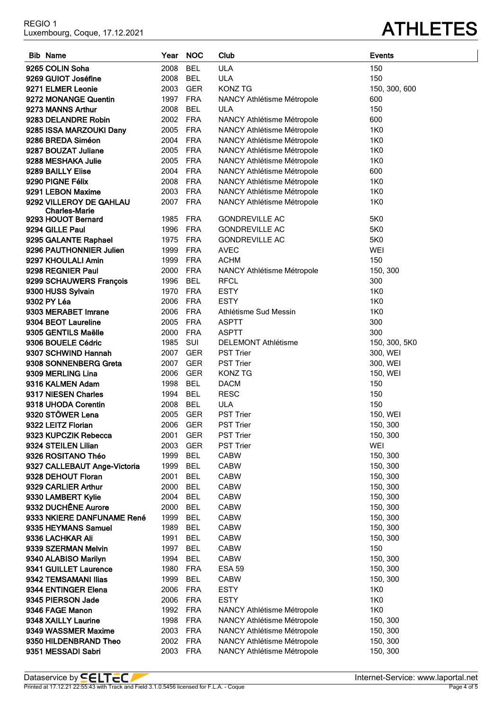# Luxembourg, Coque, 17.12.2021 **ATHLETES**

| <b>Bib Name</b>                               | Year         | <b>NOC</b> | Club                         | <b>Events</b>        |
|-----------------------------------------------|--------------|------------|------------------------------|----------------------|
| 9265 COLIN Soha                               | 2008         | <b>BEL</b> | <b>ULA</b>                   | 150                  |
| 9269 GUIOT Joséfine                           | 2008         | BEL        | <b>ULA</b>                   | 150                  |
| 9271 ELMER Leonie                             | 2003         | GER        | <b>KONZ TG</b>               | 150, 300, 600        |
| 9272 MONANGE Quentin                          | 1997         | FRA        | NANCY Athlétisme Métropole   | 600                  |
| 9273 MANNS Arthur                             | 2008         | <b>BEL</b> | <b>ULA</b>                   | 150                  |
| 9283 DELANDRE Robin                           | 2002         | FRA        | NANCY Athlétisme Métropole   | 600                  |
| 9285 ISSA MARZOUKI Dany                       | 2005         | <b>FRA</b> | NANCY Athlétisme Métropole   | 1K0                  |
| 9286 BREDA Siméon                             | 2004         | <b>FRA</b> | NANCY Athlétisme Métropole   | 1K0                  |
| 9287 BOUZAT Juliane                           | 2005         | <b>FRA</b> | NANCY Athlétisme Métropole   | 1K0                  |
| 9288 MESHAKA Julie                            | 2005         | FRA        | NANCY Athlétisme Métropole   | 1K0                  |
| 9289 BAILLY Elise                             | 2004         | <b>FRA</b> | NANCY Athlétisme Métropole   | 600                  |
| 9290 PIGNE Félix                              | 2008         | FRA        | NANCY Athlétisme Métropole   | 1K0                  |
| 9291 LEBON Maxime                             | 2003         | FRA        | NANCY Athlétisme Métropole   | <b>1K0</b>           |
| 9292 VILLEROY DE GAHLAU                       | 2007         | FRA        | NANCY Athlétisme Métropole   | 1K0                  |
| <b>Charles-Marie</b>                          |              |            |                              |                      |
| 9293 HOUOT Bernard                            | 1985         | <b>FRA</b> | <b>GONDREVILLE AC</b>        | 5K0                  |
| 9294 GILLE Paul                               | 1996         | FRA        | <b>GONDREVILLE AC</b>        | 5K0                  |
| 9295 GALANTE Raphael                          | 1975         | FRA        | <b>GONDREVILLE AC</b>        | 5K0                  |
| 9296 PAUTHONNIER Julien                       | 1999         | FRA        | <b>AVEC</b>                  | <b>WEI</b>           |
| 9297 KHOULALI Amin                            | 1999         | FRA        | <b>ACHM</b>                  | 150                  |
| 9298 REGNIER Paul                             | 2000         | FRA        | NANCY Athlétisme Métropole   | 150, 300             |
| 9299 SCHAUWERS François                       | 1996         | <b>BEL</b> | <b>RFCL</b>                  | 300                  |
| 9300 HUSS Sylvain                             | 1970         | FRA        | <b>ESTY</b>                  | 1K0                  |
| 9302 PY Léa                                   | 2006         | FRA        | <b>ESTY</b>                  | <b>1K0</b>           |
| 9303 MERABET Imrane                           | 2006         | <b>FRA</b> | Athlétisme Sud Messin        | 1K0                  |
| 9304 BEOT Laureline                           | 2005         | <b>FRA</b> | <b>ASPTT</b>                 | 300                  |
| 9305 GENTILS Maëlle                           | 2000         | <b>FRA</b> | <b>ASPTT</b>                 | 300                  |
| 9306 BOUELE Cédric                            | 1985         | SUI        | <b>DELEMONT Athlétisme</b>   | 150, 300, 5K0        |
| 9307 SCHWIND Hannah                           | 2007         | GER        | <b>PST Trier</b>             | 300, WEI             |
| 9308 SONNENBERG Greta                         | 2007         | <b>GER</b> | <b>PST Trier</b>             | 300, WEI             |
| 9309 MERLING Lina                             | 2006         | <b>GER</b> | <b>KONZ TG</b>               | 150, WEI             |
| 9316 KALMEN Adam                              | 1998         | <b>BEL</b> | <b>DACM</b>                  | 150                  |
| 9317 NIESEN Charles                           | 1994         | <b>BEL</b> | <b>RESC</b>                  | 150                  |
| 9318 UHODA Corentin                           | 2008         | <b>BEL</b> | <b>ULA</b>                   | 150                  |
| 9320 STÖWER Lena                              | 2005         | GER        | <b>PST Trier</b>             | 150, WEI             |
| 9322 LEITZ Florian                            | 2006 GER     |            | PST Trier                    | 150, 300             |
| 9323 KUPCZIK Rebecca                          | 2001         | GER        | <b>PST Trier</b>             | 150, 300             |
| 9324 STEILEN Lilian                           | 2003         | GER        | <b>PST Trier</b>             | WEI                  |
| 9326 ROSITANO Théo                            | 1999         | <b>BEL</b> | <b>CABW</b>                  | 150, 300             |
| 9327 CALLEBAUT Ange-Victoria                  | 1999         | BEL        | <b>CABW</b>                  | 150, 300             |
| 9328 DEHOUT Floran                            | 2001         | <b>BEL</b> | <b>CABW</b>                  | 150, 300             |
| 9329 CARLIER Arthur                           | 2000         | <b>BEL</b> | <b>CABW</b>                  | 150, 300             |
| 9330 LAMBERT Kylie                            | 2004         | <b>BEL</b> | <b>CABW</b>                  | 150, 300             |
| 9332 DUCHÊNE Aurore                           | 2000         | <b>BEL</b> | <b>CABW</b>                  | 150, 300             |
| 9333 NKIERE DANFUNAME René                    | 1999         | <b>BEL</b> | <b>CABW</b>                  | 150, 300             |
| 9335 HEYMANS Samuel                           | 1989         | BEL        | <b>CABW</b>                  | 150, 300             |
| 9336 LACHKAR Ali                              | 1991         | BEL        | <b>CABW</b>                  | 150, 300             |
| 9339 SZERMAN Melvin                           | 1997         | BEL        | <b>CABW</b>                  | 150                  |
| 9340 ALABISO Marilyn                          | 1994         | <b>BEL</b> | <b>CABW</b>                  | 150, 300             |
| 9341 GUILLET Laurence<br>9342 TEMSAMANI Ilias | 1980<br>1999 | FRA<br>BEL | <b>ESA 59</b><br><b>CABW</b> | 150, 300<br>150, 300 |
| 9344 ENTINGER Elena                           | 2006         | FRA        | <b>ESTY</b>                  | 1K0                  |
| 9345 PIERSON Jade                             | 2006         | FRA        | <b>ESTY</b>                  | 1K0                  |
| 9346 FAGE Manon                               | 1992 FRA     |            | NANCY Athlétisme Métropole   | 1K0                  |
| 9348 XAILLY Laurine                           | 1998         | FRA        | NANCY Athlétisme Métropole   | 150, 300             |
| 9349 WASSMER Maxime                           | 2003         | FRA        | NANCY Athlétisme Métropole   | 150, 300             |
| 9350 HILDENBRAND Theo                         | 2002         | <b>FRA</b> | NANCY Athlétisme Métropole   | 150, 300             |
| 9351 MESSADI Sabri                            | 2003         | FRA        | NANCY Athlétisme Métropole   | 150, 300             |
|                                               |              |            |                              |                      |